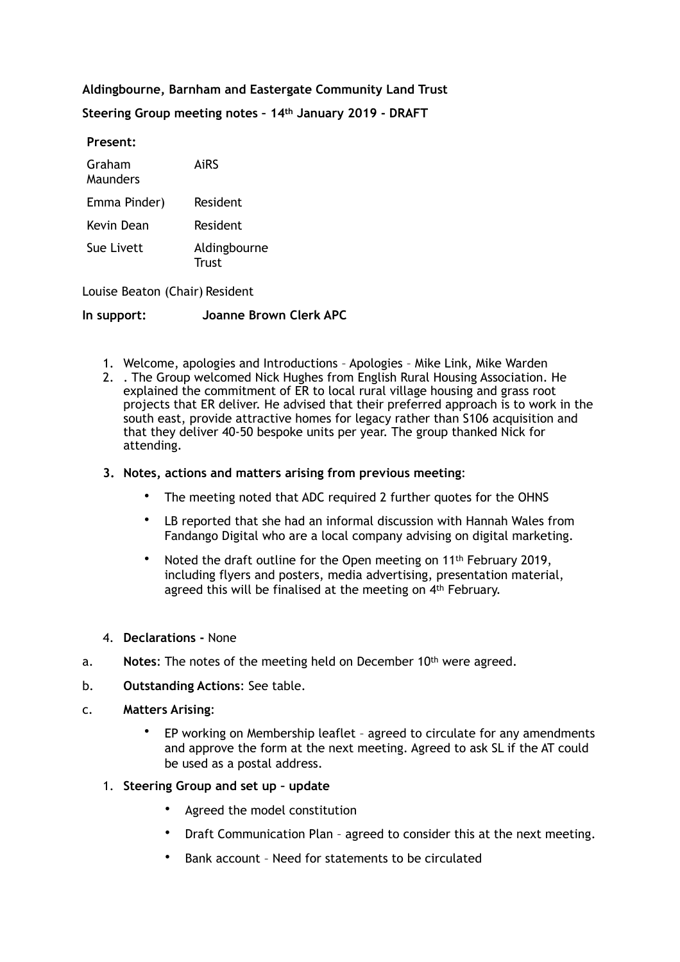## **Aldingbourne, Barnham and Eastergate Community Land Trust**

**Steering Group meeting notes – 14th January 2019 - DRAFT** 

**Present:** 

| Graham<br>Maunders | AiRS                  |
|--------------------|-----------------------|
| Emma Pinder)       | <b>Resident</b>       |
| Kevin Dean         | <b>Resident</b>       |
| Sue Livett         | Aldingbourne<br>Trust |

Louise Beaton (Chair) Resident

**In support: Joanne Brown Clerk APC**

- 1. Welcome, apologies and Introductions Apologies Mike Link, Mike Warden
- 2. . The Group welcomed Nick Hughes from English Rural Housing Association. He explained the commitment of ER to local rural village housing and grass root projects that ER deliver. He advised that their preferred approach is to work in the south east, provide attractive homes for legacy rather than S106 acquisition and that they deliver 40-50 bespoke units per year. The group thanked Nick for attending.

#### **3. Notes, actions and matters arising from previous meeting**:

- The meeting noted that ADC required 2 further quotes for the OHNS
- LB reported that she had an informal discussion with Hannah Wales from Fandango Digital who are a local company advising on digital marketing.
- Noted the draft outline for the Open meeting on 11th February 2019, including flyers and posters, media advertising, presentation material, agreed this will be finalised at the meeting on 4<sup>th</sup> February.
- 4. **Declarations** None
- a. **Notes**: The notes of the meeting held on December 10th were agreed.
- b. **Outstanding Actions**: See table.
- c. **Matters Arising**:
	- EP working on Membership leaflet agreed to circulate for any amendments and approve the form at the next meeting. Agreed to ask SL if the AT could be used as a postal address.
	- 1. **Steering Group and set up update**
		- Agreed the model constitution
		- Draft Communication Plan agreed to consider this at the next meeting.
		- Bank account Need for statements to be circulated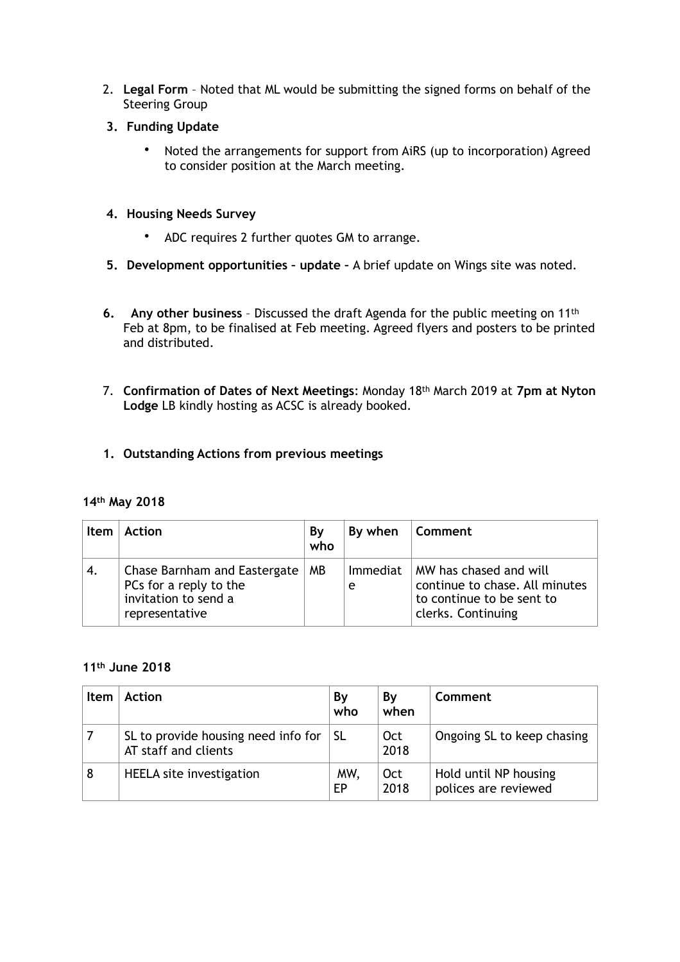- 2. **Legal Form**  Noted that ML would be submitting the signed forms on behalf of the Steering Group
- **3. Funding Update** 
	- Noted the arrangements for support from AiRS (up to incorporation) Agreed to consider position at the March meeting.
- **4. Housing Needs Survey** 
	- ADC requires 2 further quotes GM to arrange.
- **5. Development opportunities update** A brief update on Wings site was noted.
- **6. Any other business** Discussed the draft Agenda for the public meeting on 11th Feb at 8pm, to be finalised at Feb meeting. Agreed flyers and posters to be printed and distributed.
- 7. **Confirmation of Dates of Next Meetings**: Monday 18th March 2019 at **7pm at Nyton Lodge** LB kindly hosting as ACSC is already booked.
- **1. Outstanding Actions from previous meetings**

## **14th May 2018**

| <b>Item</b> | <b>Action</b>                                                                                    | By<br>who | By when       | Comment                                                                                                     |
|-------------|--------------------------------------------------------------------------------------------------|-----------|---------------|-------------------------------------------------------------------------------------------------------------|
| 4.          | Chase Barnham and Eastergate<br>PCs for a reply to the<br>invitation to send a<br>representative | МB        | Immediat<br>e | MW has chased and will<br>continue to chase. All minutes<br>to continue to be sent to<br>clerks. Continuing |

#### **11th June 2018**

| Item | Action                                                      | Bγ<br>who | By<br>when         | Comment                                       |
|------|-------------------------------------------------------------|-----------|--------------------|-----------------------------------------------|
|      | SL to provide housing need info for<br>AT staff and clients | SL.       | <b>Oct</b><br>2018 | Ongoing SL to keep chasing                    |
| 8    | HEELA site investigation                                    | MW,<br>EP | Oct<br>2018        | Hold until NP housing<br>polices are reviewed |